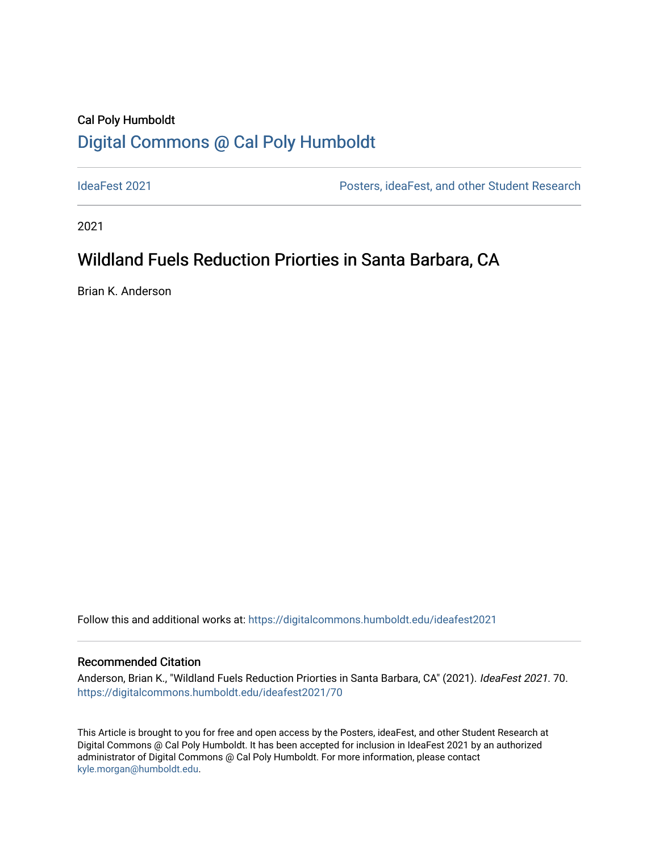## Cal Poly Humboldt [Digital Commons @ Cal Poly Humboldt](https://digitalcommons.humboldt.edu/)

[IdeaFest 2021](https://digitalcommons.humboldt.edu/ideafest2021) [Posters, ideaFest, and other Student Research](https://digitalcommons.humboldt.edu/posters) 

2021

# Wildland Fuels Reduction Priorties in Santa Barbara, CA

Brian K. Anderson

Follow this and additional works at: [https://digitalcommons.humboldt.edu/ideafest2021](https://digitalcommons.humboldt.edu/ideafest2021?utm_source=digitalcommons.humboldt.edu%2Fideafest2021%2F70&utm_medium=PDF&utm_campaign=PDFCoverPages) 

#### Recommended Citation

Anderson, Brian K., "Wildland Fuels Reduction Priorties in Santa Barbara, CA" (2021). IdeaFest 2021. 70. [https://digitalcommons.humboldt.edu/ideafest2021/70](https://digitalcommons.humboldt.edu/ideafest2021/70?utm_source=digitalcommons.humboldt.edu%2Fideafest2021%2F70&utm_medium=PDF&utm_campaign=PDFCoverPages)

This Article is brought to you for free and open access by the Posters, ideaFest, and other Student Research at Digital Commons @ Cal Poly Humboldt. It has been accepted for inclusion in IdeaFest 2021 by an authorized administrator of Digital Commons @ Cal Poly Humboldt. For more information, please contact [kyle.morgan@humboldt.edu](mailto:kyle.morgan@humboldt.edu).